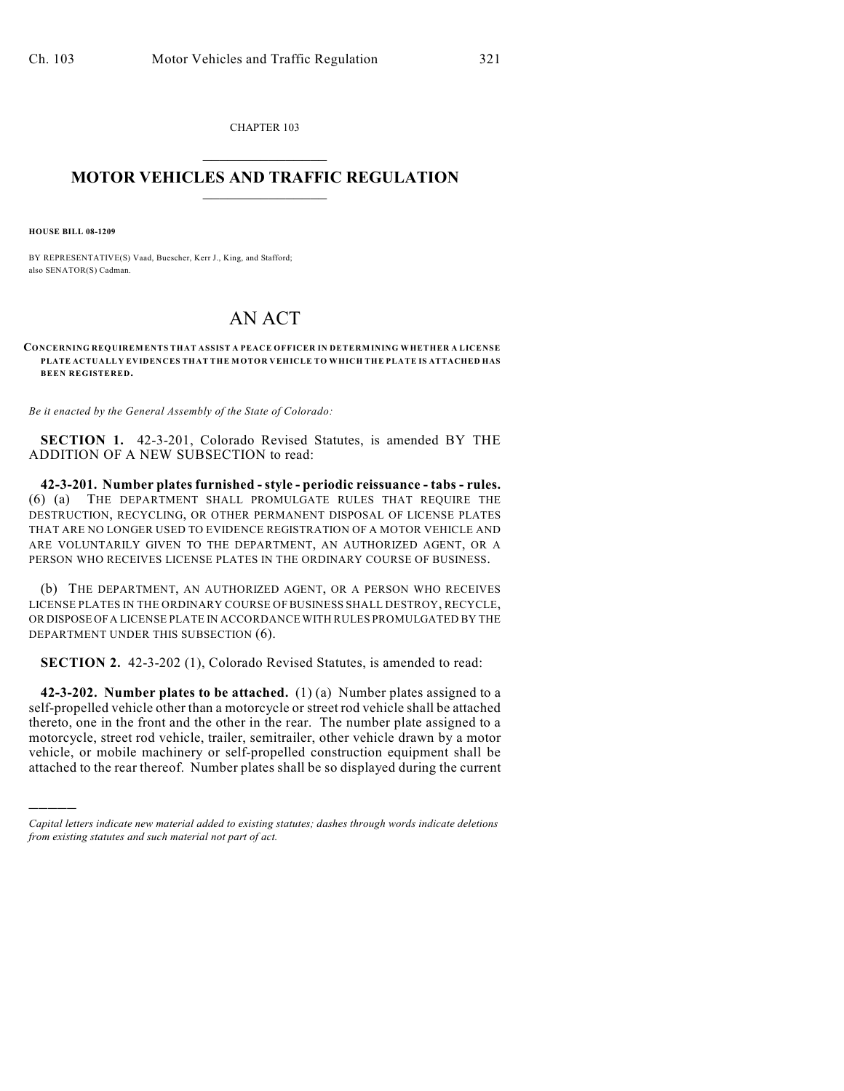CHAPTER 103  $\mathcal{L}_\text{max}$  . The set of the set of the set of the set of the set of the set of the set of the set of the set of the set of the set of the set of the set of the set of the set of the set of the set of the set of the set

## **MOTOR VEHICLES AND TRAFFIC REGULATION**  $\frac{1}{2}$  ,  $\frac{1}{2}$  ,  $\frac{1}{2}$  ,  $\frac{1}{2}$  ,  $\frac{1}{2}$  ,  $\frac{1}{2}$  ,  $\frac{1}{2}$  ,  $\frac{1}{2}$

**HOUSE BILL 08-1209**

)))))

BY REPRESENTATIVE(S) Vaad, Buescher, Kerr J., King, and Stafford; also SENATOR(S) Cadman.

## AN ACT

**CONCERNING REQUIREM ENTS THAT ASSIST A PEACE OFFICER IN DETERM INING WHETHER A LICENSE PLATE ACTUALLY EVIDENCES THAT THE M OTOR VEHICLE TO WHICH THE PLATE IS ATTACHED HAS BEEN REGISTERED.**

*Be it enacted by the General Assembly of the State of Colorado:*

**SECTION 1.** 42-3-201, Colorado Revised Statutes, is amended BY THE ADDITION OF A NEW SUBSECTION to read:

**42-3-201. Number plates furnished - style - periodic reissuance - tabs - rules.** (6) (a) THE DEPARTMENT SHALL PROMULGATE RULES THAT REQUIRE THE DESTRUCTION, RECYCLING, OR OTHER PERMANENT DISPOSAL OF LICENSE PLATES THAT ARE NO LONGER USED TO EVIDENCE REGISTRATION OF A MOTOR VEHICLE AND ARE VOLUNTARILY GIVEN TO THE DEPARTMENT, AN AUTHORIZED AGENT, OR A PERSON WHO RECEIVES LICENSE PLATES IN THE ORDINARY COURSE OF BUSINESS.

(b) THE DEPARTMENT, AN AUTHORIZED AGENT, OR A PERSON WHO RECEIVES LICENSE PLATES IN THE ORDINARY COURSE OF BUSINESS SHALL DESTROY, RECYCLE, OR DISPOSE OF A LICENSE PLATE IN ACCORDANCE WITH RULES PROMULGATED BY THE DEPARTMENT UNDER THIS SUBSECTION (6).

**SECTION 2.** 42-3-202 (1), Colorado Revised Statutes, is amended to read:

**42-3-202. Number plates to be attached.** (1) (a) Number plates assigned to a self-propelled vehicle other than a motorcycle or street rod vehicle shall be attached thereto, one in the front and the other in the rear. The number plate assigned to a motorcycle, street rod vehicle, trailer, semitrailer, other vehicle drawn by a motor vehicle, or mobile machinery or self-propelled construction equipment shall be attached to the rear thereof. Number plates shall be so displayed during the current

*Capital letters indicate new material added to existing statutes; dashes through words indicate deletions from existing statutes and such material not part of act.*